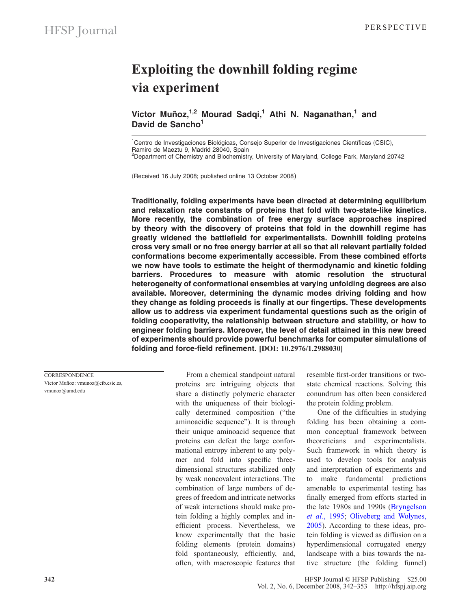# **Exploiting the downhill folding regime via experiment**

**Victor Muñoz,1,2 Mourad Sadqi,<sup>1</sup> Athi N. Naganathan,<sup>1</sup> and David de Sancho<sup>1</sup>**

<sup>1</sup>Centro de Investigaciones Biológicas, Consejo Superior de Investigaciones Científicas (CSIC), Ramiro de Maeztu 9, Madrid 28040, Spain

<sup>2</sup>Department of Chemistry and Biochemistry, University of Maryland, College Park, Maryland 20742

Received 16 July 2008; published online 13 October 2008)

**Traditionally, folding experiments have been directed at determining equilibrium and relaxation rate constants of proteins that fold with two-state-like kinetics. More recently, the combination of free energy surface approaches inspired by theory with the discovery of proteins that fold in the downhill regime has greatly widened the battlefield for experimentalists. Downhill folding proteins cross very small or no free energy barrier at all so that all relevant partially folded conformations become experimentally accessible. From these combined efforts we now have tools to estimate the height of thermodynamic and kinetic folding barriers. Procedures to measure with atomic resolution the structural heterogeneity of conformational ensembles at varying unfolding degrees are also available. Moreover, determining the dynamic modes driving folding and how they change as folding proceeds is finally at our fingertips. These developments allow us to address via experiment fundamental questions such as the origin of folding cooperativity, the relationship between structure and stability, or how to engineer folding barriers. Moreover, the level of detail attained in this new breed of experiments should provide powerful benchmarks for computer simulations of folding and force-field refinement. [DOI: 10.2976/1.2988030]**

**CORRESPONDENCE** Victor Muñoz: vmunoz@cib.csic.es, vmunoz@umd.edu

From a chemical standpoint natural proteins are intriguing objects that share a distinctly polymeric character with the uniqueness of their biologically determined composition ("the aminoacidic sequence"). It is through their unique aminoacid sequence that proteins can defeat the large conformational entropy inherent to any polymer and fold into specific threedimensional structures stabilized only by weak noncovalent interactions. The combination of large numbers of degrees of freedom and intricate networks of weak interactions should make protein folding a highly complex and inefficient process. Nevertheless, we know experimentally that the basic folding elements (protein domains) fold spontaneously, efficiently, and, often, with macroscopic features that resemble first-order transitions or twostate chemical reactions. Solving this conundrum has often been considered the protein folding problem.

One of the difficulties in studying folding has been obtaining a common conceptual framework between theoreticians and experimentalists. Such framework in which theory is used to develop tools for analysis and interpretation of experiments and to make fundamental predictions amenable to experimental testing has finally emerged from efforts started in the late 1980s and 1990s (Bryngelson *et al.*, 1995; Oliveberg and Wolynes, 2005). According to these ideas, protein folding is viewed as diffusion on a hyperdimensional corrugated energy landscape with a bias towards the native structure (the folding funnel)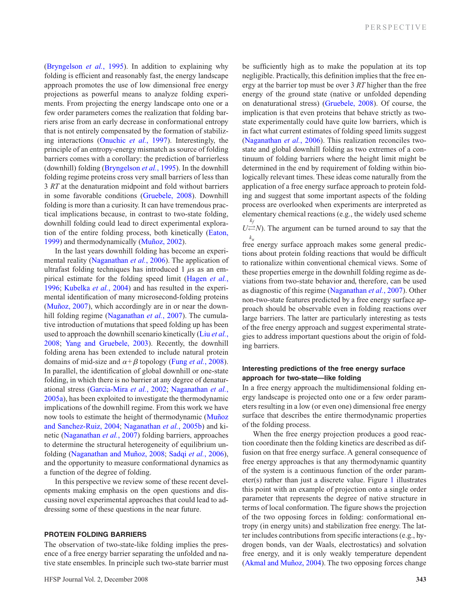(Bryngelson *et al.*, 1995). In addition to explaining why folding is efficient and reasonably fast, the energy landscape approach promotes the use of low dimensional free energy projections as powerful means to analyze folding experiments. From projecting the energy landscape onto one or a few order parameters comes the realization that folding barriers arise from an early decrease in conformational entropy that is not entirely compensated by the formation of stabilizing interactions (Onuchic *et al.*, 1997). Interestingly, the principle of an entropy-energy mismatch as source of folding barriers comes with a corollary: the prediction of barrierless (downhill) folding (Bryngelson *et al.*, 1995). In the downhill folding regime proteins cross very small barriers of less than 3 *RT* at the denaturation midpoint and fold without barriers in some favorable conditions (Gruebele, 2008). Downhill folding is more than a curiosity. It can have tremendous practical implications because, in contrast to two-state folding, downhill folding could lead to direct experimental exploration of the entire folding process, both kinetically (Eaton, 1999) and thermodynamically (Muñoz, 2002).

In the last years downhill folding has become an experimental reality (Naganathan *et al.*, 2006). The application of ultrafast folding techniques has introduced 1 *µ*s as an empirical estimate for the folding speed limit (Hagen *et al.*, 1996; Kubelka *et al.*, 2004) and has resulted in the experimental identification of many microsecond-folding proteins (Muñoz, 2007), which accordingly are in or near the downhill folding regime (Naganathan *et al.*, 2007). The cumulative introduction of mutations that speed folding up has been used to approach the downhill scenario kinetically (Liu *et al.*, 2008; Yang and Gruebele, 2003). Recently, the downhill folding arena has been extended to include natural protein domains of mid-size and  $\alpha + \beta$  topology (Fung *et al.*, 2008). In parallel, the identification of global downhill or one-state folding, in which there is no barrier at any degree of denaturational stress (Garcia-Mira *et al.*, 2002; Naganathan *et al.*, 2005a), has been exploited to investigate the thermodynamic implications of the downhill regime. From this work we have now tools to estimate the height of thermodynamic (Muñoz and Sanchez-Ruiz, 2004; Naganathan *et al.*, 2005b) and kinetic (Naganathan *et al.*, 2007) folding barriers, approaches to determine the structural heterogeneity of equilibrium unfolding (Naganathan and Muñoz, 2008; Sadqi *et al.*, 2006), and the opportunity to measure conformational dynamics as a function of the degree of folding.

In this perspective we review some of these recent developments making emphasis on the open questions and discussing novel experimental approaches that could lead to addressing some of these questions in the near future.

#### **PROTEIN FOLDING BARRIERS**

The observation of two-state-like folding implies the presence of a free energy barrier separating the unfolded and native state ensembles. In principle such two-state barrier must be sufficiently high as to make the population at its top negligible. Practically, this definition implies that the free energy at the barrier top must be over 3 *RT* higher than the free energy of the ground state (native or unfolded depending on denaturational stress) (Gruebele, 2008). Of course, the implication is that even proteins that behave strictly as twostate experimentally could have quite low barriers, which is in fact what current estimates of folding speed limits suggest (Naganathan *et al.*, 2006). This realization reconciles twostate and global downhill folding as two extremes of a continuum of folding barriers where the height limit might be determined in the end by requirement of folding within biologically relevant times. These ideas come naturally from the application of a free energy surface approach to protein folding and suggest that some important aspects of the folding process are overlooked when experiments are interpreted as elementary chemical reactions (e.g., the widely used scheme *U*⇄ *kf*

*N*). The argument can be turned around to say that the

*ku* free energy surface approach makes some general predictions about protein folding reactions that would be difficult to rationalize within conventional chemical views. Some of these properties emerge in the downhill folding regime as deviations from two-state behavior and, therefore, can be used as diagnostic of this regime (Naganathan *et al.*, 2007). Other non-two-state features predicted by a free energy surface approach should be observable even in folding reactions over large barriers. The latter are particularly interesting as tests of the free energy approach and suggest experimental strategies to address important questions about the origin of folding barriers.

## **Interesting predictions of the free energy surface approach for two-state—like folding**

In a free energy approach the multidimensional folding energy landscape is projected onto one or a few order parameters resulting in a low (or even one) dimensional free energy surface that describes the entire thermodynamic properties of the folding process.

When the free energy projection produces a good reaction coordinate then the folding kinetics are described as diffusion on that free energy surface. A general consequence of free energy approaches is that any thermodynamic quantity of the system is a continuous function of the order parameter(s) rather than just a discrete value. Figure 1 illustrates this point with an example of projection onto a single order parameter that represents the degree of native structure in terms of local conformation. The figure shows the projection of the two opposing forces in folding: conformational entropy (in energy units) and stabilization free energy. The latter includes contributions from specific interactions (e.g., hydrogen bonds, van der Waals, electrostatics) and solvation free energy, and it is only weakly temperature dependent (Akmal and Muñoz, 2004). The two opposing forces change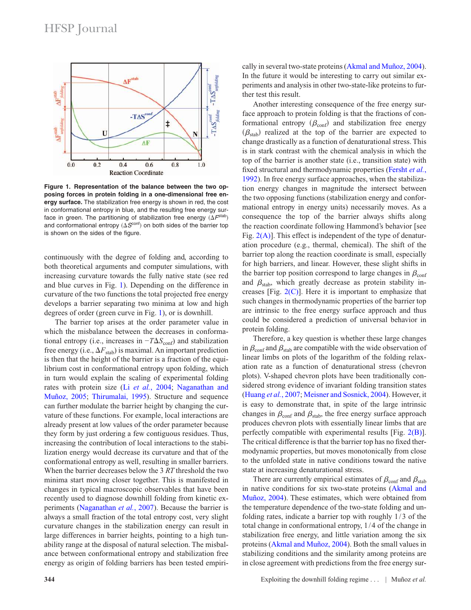

**Figure 1. Representation of the balance between the two opposing forces in protein folding in a one-dimensional free energy surface.** The stabilization free energy is shown in red, the cost in conformational entropy in blue, and the resulting free energy surface in green. The partitioning of stabilization free energy  $(\Delta F^{\rm stab})$ and conformational entropy  $(\Delta S^{\text{conf}})$  on both sides of the barrier top is shown on the sides of the figure.

continuously with the degree of folding and, according to both theoretical arguments and computer simulations, with increasing curvature towards the fully native state (see red and blue curves in Fig. 1). Depending on the difference in curvature of the two functions the total projected free energy develops a barrier separating two minima at low and high degrees of order (green curve in Fig. 1), or is downhill.

The barrier top arises at the order parameter value in which the misbalance between the decreases in conformational entropy (i.e., increases in  $-T\Delta S_{\text{conf}}$ ) and stabilization free energy (i.e.,  $\Delta F_{\text{stab}}$ ) is maximal. An important prediction is then that the height of the barrier is a fraction of the equilibrium cost in conformational entropy upon folding, which in turn would explain the scaling of experimental folding rates with protein size (Li *et al.*, 2004; Naganathan and Muñoz, 2005; Thirumalai, 1995). Structure and sequence can further modulate the barrier height by changing the curvature of these functions. For example, local interactions are already present at low values of the order parameter because they form by just ordering a few contiguous residues. Thus, increasing the contribution of local interactions to the stabilization energy would decrease its curvature and that of the conformational entropy as well, resulting in smaller barriers. When the barrier decreases below the 3 *RT* threshold the two minima start moving closer together. This is manifested in changes in typical macroscopic observables that have been recently used to diagnose downhill folding from kinetic experiments (Naganathan *et al.*, 2007). Because the barrier is always a small fraction of the total entropy cost, very slight curvature changes in the stabilization energy can result in large differences in barrier heights, pointing to a high tunability range at the disposal of natural selection. The misbalance between conformational entropy and stabilization free energy as origin of folding barriers has been tested empirically in several two-state proteins (Akmal and Muñoz, 2004). In the future it would be interesting to carry out similar experiments and analysis in other two-state-like proteins to further test this result.

Another interesting consequence of the free energy surface approach to protein folding is that the fractions of conformational entropy  $(\beta_{\text{conf}})$  and stabilization free energy  $(\beta_{stab})$  realized at the top of the barrier are expected to change drastically as a function of denaturational stress. This is in stark contrast with the chemical analysis in which the top of the barrier is another state (i.e., transition state) with fixed structural and thermodynamic properties (Fersht *et al.*, 1992). In free energy surface approaches, when the stabilization energy changes in magnitude the intersect between the two opposing functions (stabilization energy and conformational entropy in energy units) necessarily moves. As a consequence the top of the barrier always shifts along the reaction coordinate following Hammond's behavior [see Fig.  $2(A)$ ]. This effect is independent of the type of denaturation procedure (e.g., thermal, chemical). The shift of the barrier top along the reaction coordinate is small, especially for high barriers, and linear. However, these slight shifts in the barrier top position correspond to large changes in  $\beta_{\rm conf}$ and  $\beta_{\text{stab}}$ , which greatly decrease as protein stability increases [Fig.  $2(C)$ ]. Here it is important to emphasize that such changes in thermodynamic properties of the barrier top are intrinsic to the free energy surface approach and thus could be considered a prediction of universal behavior in protein folding.

Therefore, a key question is whether these large changes in  $\beta_{\text{conf}}$  and  $\beta_{\text{stab}}$  are compatible with the wide observation of linear limbs on plots of the logarithm of the folding relaxation rate as a function of denaturational stress (chevron plots). V-shaped chevron plots have been traditionally considered strong evidence of invariant folding transition states (Huang *et al.*, 2007; Meisner and Sosnick, 2004). However, it is easy to demonstrate that, in spite of the large intrinsic changes in  $\beta_{\text{conf}}$  and  $\beta_{\text{stab}}$ , the free energy surface approach produces chevron plots with essentially linear limbs that are perfectly compatible with experimental results [Fig. 2(B)]. The critical difference is that the barrier top has no fixed thermodynamic properties, but moves monotonically from close to the unfolded state in native conditions toward the native state at increasing denaturational stress.

There are currently empirical estimates of  $\beta_{\text{conf}}$  and  $\beta_{\text{stab}}$ in native conditions for six two-state proteins (Akmal and Muñoz, 2004). These estimates, which were obtained from the temperature dependence of the two-state folding and unfolding rates, indicate a barrier top with roughly  $1/3$  of the total change in conformational entropy,  $1/4$  of the change in stabilization free energy, and little variation among the six proteins (Akmal and Muñoz, 2004). Both the small values in stabilizing conditions and the similarity among proteins are in close agreement with predictions from the free energy sur-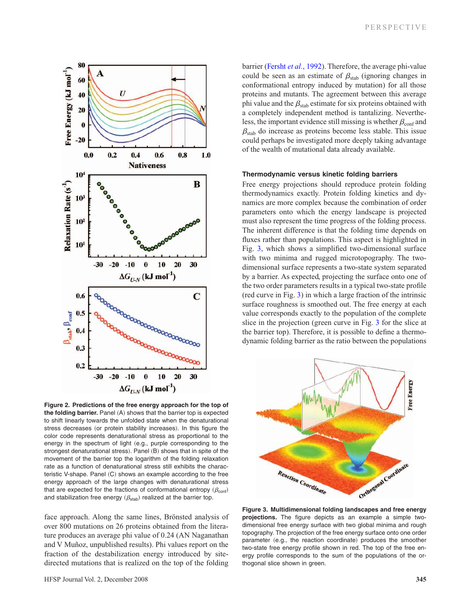

**Figure 2. Predictions of the free energy approach for the top of** the folding barrier. Panel (A) shows that the barrier top is expected to shift linearly towards the unfolded state when the denaturational stress decreases (or protein stability increases). In this figure the color code represents denaturational stress as proportional to the energy in the spectrum of light (e.g., purple corresponding to the strongest denaturational stress). Panel (B) shows that in spite of the movement of the barrier top the logarithm of the folding relaxation rate as a function of denaturational stress still exhibits the characteristic V-shape. Panel (C) shows an example according to the free energy approach of the large changes with denaturational stress that are expected for the fractions of conformational entropy  $(\beta_{\mathsf{cont}})$ and stabilization free energy  $(\beta_{\text{stab}})$  realized at the barrier top.

face approach. Along the same lines, Brönsted analysis of over 800 mutations on 26 proteins obtained from the literature produces an average phi value of 0.24 (AN Naganathan and V Muñoz, unpublished results). Phi values report on the fraction of the destabilization energy introduced by sitedirected mutations that is realized on the top of the folding

barrier (Fersht *et al.*, 1992). Therefore, the average phi-value could be seen as an estimate of  $\beta_{\text{stab}}$  (ignoring changes in conformational entropy induced by mutation) for all those proteins and mutants. The agreement between this average phi value and the  $\beta_{\text{stab}}$  estimate for six proteins obtained with a completely independent method is tantalizing. Nevertheless, the important evidence still missing is whether  $\beta_{\rm conf}$  and  $\beta_{stab}$  do increase as proteins become less stable. This issue could perhaps be investigated more deeply taking advantage of the wealth of mutational data already available.

### **Thermodynamic versus kinetic folding barriers**

Free energy projections should reproduce protein folding thermodynamics exactly. Protein folding kinetics and dynamics are more complex because the combination of order parameters onto which the energy landscape is projected must also represent the time progress of the folding process. The inherent difference is that the folding time depends on fluxes rather than populations. This aspect is highlighted in Fig. 3, which shows a simplified two-dimensional surface with two minima and rugged microtopography. The twodimensional surface represents a two-state system separated by a barrier. As expected, projecting the surface onto one of the two order parameters results in a typical two-state profile (red curve in Fig. 3) in which a large fraction of the intrinsic surface roughness is smoothed out. The free energy at each value corresponds exactly to the population of the complete slice in the projection (green curve in Fig. 3 for the slice at the barrier top). Therefore, it is possible to define a thermodynamic folding barrier as the ratio between the populations



**Figure 3. Multidimensional folding landscapes and free energy projections.** The figure depicts as an example a simple twodimensional free energy surface with two global minima and rough topography. The projection of the free energy surface onto one order parameter (e.g., the reaction coordinate) produces the smoother two-state free energy profile shown in red. The top of the free energy profile corresponds to the sum of the populations of the orthogonal slice shown in green.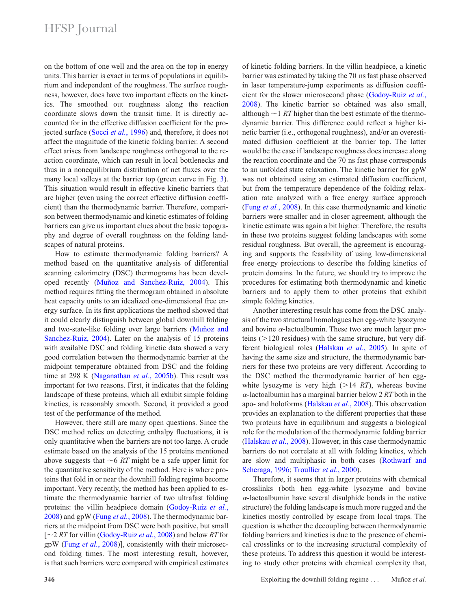on the bottom of one well and the area on the top in energy units. This barrier is exact in terms of populations in equilibrium and independent of the roughness. The surface roughness, however, does have two important effects on the kinetics. The smoothed out roughness along the reaction coordinate slows down the transit time. It is directly accounted for in the effective diffusion coefficient for the projected surface (Socci *et al.*, 1996) and, therefore, it does not affect the magnitude of the kinetic folding barrier. A second effect arises from landscape roughness orthogonal to the reaction coordinate, which can result in local bottlenecks and thus in a nonequilibrium distribution of net fluxes over the many local valleys at the barrier top (green curve in Fig. 3). This situation would result in effective kinetic barriers that are higher (even using the correct effective diffusion coefficient) than the thermodynamic barrier. Therefore, comparison between thermodynamic and kinetic estimates of folding barriers can give us important clues about the basic topography and degree of overall roughness on the folding landscapes of natural proteins.

How to estimate thermodynamic folding barriers? A method based on the quantitative analysis of differential scanning calorimetry (DSC) thermograms has been developed recently (Muñoz and Sanchez-Ruiz, 2004). This method requires fitting the thermogram obtained in absolute heat capacity units to an idealized one-dimensional free energy surface. In its first applications the method showed that it could clearly distinguish between global downhill folding and two-state-like folding over large barriers (Muñoz and Sanchez-Ruiz, 2004). Later on the analysis of 15 proteins with available DSC and folding kinetic data showed a very good correlation between the thermodynamic barrier at the midpoint temperature obtained from DSC and the folding time at 298 K (Naganathan *et al.*, 2005b). This result was important for two reasons. First, it indicates that the folding landscape of these proteins, which all exhibit simple folding kinetics, is reasonably smooth. Second, it provided a good test of the performance of the method.

However, there still are many open questions. Since the DSC method relies on detecting enthalpy fluctuations, it is only quantitative when the barriers are not too large. A crude estimate based on the analysis of the 15 proteins mentioned above suggests that  $\sim$  6 *RT* might be a safe upper limit for the quantitative sensitivity of the method. Here is where proteins that fold in or near the downhill folding regime become important. Very recently, the method has been applied to estimate the thermodynamic barrier of two ultrafast folding proteins: the villin headpiece domain (Godoy-Ruiz *et al.*, 2008) and gpW (Fung *et al.*, 2008). The thermodynamic barriers at the midpoint from DSC were both positive, but small [2 *RT* for villin (Godoy-Ruiz *et al.*, 2008) and below *RT* for gpW (Fung *et al.*, 2008)], consistently with their microsecond folding times. The most interesting result, however, is that such barriers were compared with empirical estimates of kinetic folding barriers. In the villin headpiece, a kinetic barrier was estimated by taking the 70 ns fast phase observed in laser temperature-jump experiments as diffusion coefficient for the slower microsecond phase (Godoy-Ruiz *et al.*, 2008). The kinetic barrier so obtained was also small, although  $\sim$  1 *RT* higher than the best estimate of the thermodynamic barrier. This difference could reflect a higher kinetic barrier (i.e., orthogonal roughness), and/or an overestimated diffusion coefficient at the barrier top. The latter would be the case if landscape roughness does increase along the reaction coordinate and the 70 ns fast phase corresponds to an unfolded state relaxation. The kinetic barrier for gpW was not obtained using an estimated diffusion coefficient, but from the temperature dependence of the folding relaxation rate analyzed with a free energy surface approach (Fung *et al.*, 2008). In this case thermodynamic and kinetic barriers were smaller and in closer agreement, although the kinetic estimate was again a bit higher. Therefore, the results in these two proteins suggest folding landscapes with some residual roughness. But overall, the agreement is encouraging and supports the feasibility of using low-dimensional free energy projections to describe the folding kinetics of protein domains. In the future, we should try to improve the procedures for estimating both thermodynamic and kinetic barriers and to apply them to other proteins that exhibit simple folding kinetics.

Another interesting result has come from the DSC analysis of the two structural homologues hen egg-white lysozyme and bovine  $\alpha$ -lactoalbumin. These two are much larger proteins  $(>120$  residues) with the same structure, but very different biological roles (Halskau *et al.*, 2005). In spite of having the same size and structure, the thermodynamic barriers for these two proteins are very different. According to the DSC method the thermodynamic barrier of hen eggwhite lysozyme is very high  $(>14 \text{ RT})$ , whereas bovine  $\alpha$ -lactoalbumin has a marginal barrier below 2 *RT* both in the apo- and holoforms (Halskau *et al.*, 2008). This observation provides an explanation to the different properties that these two proteins have in equilibrium and suggests a biological role for the modulation of the thermodynamic folding barrier (Halskau *et al.*, 2008). However, in this case thermodynamic barriers do not correlate at all with folding kinetics, which are slow and multiphasic in both cases (Rothwarf and Scheraga, 1996; Troullier *et al.*, 2000).

Therefore, it seems that in larger proteins with chemical crosslinks (both hen egg-white lysozyme and bovine  $\alpha$ -lactoalbumin have several disulphide bonds in the native structure) the folding landscape is much more rugged and the kinetics mostly controlled by escape from local traps. The question is whether the decoupling between thermodynamic folding barriers and kinetics is due to the presence of chemical crosslinks or to the increasing structural complexity of these proteins. To address this question it would be interesting to study other proteins with chemical complexity that,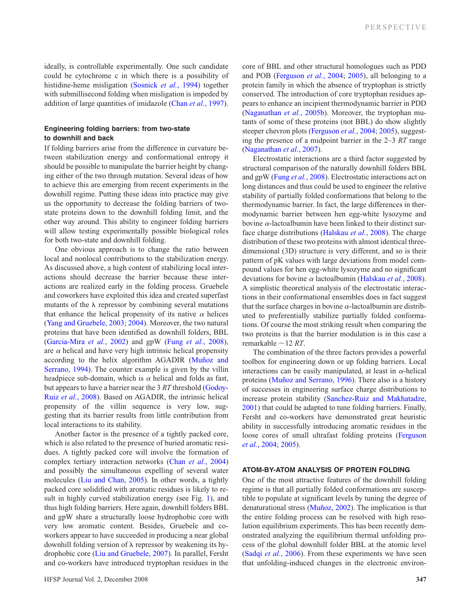ideally, is controllable experimentally. One such candidate could be cytochrome c in which there is a possibility of histidine-heme misligation (Sosnick *et al.*, 1994) together with submillisecond folding when misligation is impeded by addition of large quantities of imidazole (Chan *et al.*, 1997).

## **Engineering folding barriers: from two-state to downhill and back**

If folding barriers arise from the difference in curvature between stabilization energy and conformational entropy it should be possible to manipulate the barrier height by changing either of the two through mutation. Several ideas of how to achieve this are emerging from recent experiments in the downhill regime. Putting these ideas into practice may give us the opportunity to decrease the folding barriers of twostate proteins down to the downhill folding limit, and the other way around. This ability to engineer folding barriers will allow testing experimentally possible biological roles for both two-state and downhill folding.

One obvious approach is to change the ratio between local and nonlocal contributions to the stabilization energy. As discussed above, a high content of stabilizing local interactions should decrease the barrier because these interactions are realized early in the folding process. Gruebele and coworkers have exploited this idea and created superfast mutants of the  $\lambda$  repressor by combining several mutations that enhance the helical propensity of its native  $\alpha$  helices (Yang and Gruebele, 2003; 2004). Moreover, the two natural proteins that have been identified as downhill folders, BBL (Garcia-Mira *et al.*, 2002) and gpW (Fung *et al.*, 2008), are  $\alpha$  helical and have very high intrinsic helical propensity according to the helix algorithm AGADIR (Muñoz and Serrano, 1994). The counter example is given by the villin headpiece sub-domain, which is  $\alpha$  helical and folds as fast, but appears to have a barrier near the 3 *RT* threshold (Godoy-Ruiz *et al.*, 2008). Based on AGADIR, the intrinsic helical propensity of the villin sequence is very low, suggesting that its barrier results from little contribution from local interactions to its stability.

Another factor is the presence of a tightly packed core, which is also related to the presence of buried aromatic residues. A tightly packed core will involve the formation of complex tertiary interaction networks (Chan *et al.*, 2004) and possibly the simultaneous expelling of several water molecules (Liu and Chan, 2005). In other words, a tightly packed core solidified with aromatic residues is likely to result in highly curved stabilization energy (see Fig. 1), and thus high folding barriers. Here again, downhill folders BBL and gpW share a structurally loose hydrophobic core with very low aromatic content. Besides, Gruebele and coworkers appear to have succeeded in producing a near global downhill folding version of  $\lambda$  repressor by weakening its hydrophobic core (Liu and Gruebele, 2007). In parallel, Fersht and co-workers have introduced tryptophan residues in the

core of BBL and other structural homologues such as PDD and POB (Ferguson *et al.*, 2004; 2005), all belonging to a protein family in which the absence of tryptophan is strictly conserved. The introduction of core tryptophan residues appears to enhance an incipient thermodynamic barrier in PDD (Naganathan *et al.*, 2005b). Moreover, the tryptophan mutants of some of these proteins (not BBL) do show slightly steeper chevron plots (Ferguson *et al.*, 2004; 2005), suggesting the presence of a midpoint barrier in the 2–3 *RT* range (Naganathan *et al.*, 2007).

Electrostatic interactions are a third factor suggested by structural comparison of the naturally downhill folders BBL and gpW (Fung *et al.*, 2008). Electrostatic interactions act on long distances and thus could be used to engineer the relative stability of partially folded conformations that belong to the thermodynamic barrier. In fact, the large differences in thermodynamic barrier between hen egg-white lysozyme and bovine  $\alpha$ -lactoalbumin have been linked to their distinct surface charge distributions (Halskau *et al.*, 2008). The charge distribution of these two proteins with almost identical threedimensional (3D) structure is very different, and so is their pattern of pK values with large deviations from model compound values for hen egg-white lysozyme and no significant deviations for bovine  $\alpha$  lactoalbumin (Halskau *et al.*, 2008). A simplistic theoretical analysis of the electrostatic interactions in their conformational ensembles does in fact suggest that the surface charges in bovine  $\alpha$ -lactoalbumin are distributed to preferentially stabilize partially folded conformations. Of course the most striking result when comparing the two proteins is that the barrier modulation is in this case a remarkable  $\sim$  12 *RT*.

The combination of the three factors provides a powerful toolbox for engineering down or up folding barriers. Local interactions can be easily manipulated, at least in  $\alpha$ -helical proteins (Muñoz and Serrano, 1996). There also is a history of successes in engineering surface charge distributions to increase protein stability (Sanchez-Ruiz and Makhatadze, 2001) that could be adapted to tune folding barriers. Finally, Fersht and co-workers have demonstrated great heuristic ability in successfully introducing aromatic residues in the loose cores of small ultrafast folding proteins (Ferguson *et al.*, 2004; 2005).

## **ATOM-BY-ATOM ANALYSIS OF PROTEIN FOLDING**

One of the most attractive features of the downhill folding regime is that all partially folded conformations are susceptible to populate at significant levels by tuning the degree of denaturational stress (Muñoz, 2002). The implication is that the entire folding process can be resolved with high resolution equilibrium experiments. This has been recently demonstrated analyzing the equilibrium thermal unfolding process of the global downhill folder BBL at the atomic level (Sadqi *et al.*, 2006). From these experiments we have seen that unfolding-induced changes in the electronic environ-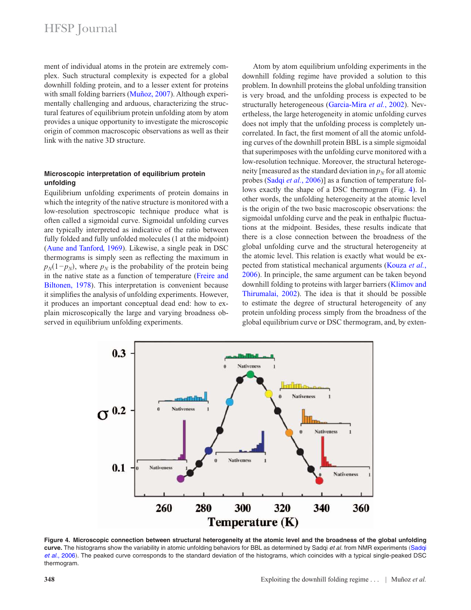## HFSP Journal

ment of individual atoms in the protein are extremely complex. Such structural complexity is expected for a global downhill folding protein, and to a lesser extent for proteins with small folding barriers (Muñoz, 2007). Although experimentally challenging and arduous, characterizing the structural features of equilibrium protein unfolding atom by atom provides a unique opportunity to investigate the microscopic origin of common macroscopic observations as well as their link with the native 3D structure.

## **Microscopic interpretation of equilibrium protein unfolding**

Equilibrium unfolding experiments of protein domains in which the integrity of the native structure is monitored with a low-resolution spectroscopic technique produce what is often called a sigmoidal curve. Sigmoidal unfolding curves are typically interpreted as indicative of the ratio between fully folded and fully unfolded molecules (1 at the midpoint) (Aune and Tanford, 1969). Likewise, a single peak in DSC thermograms is simply seen as reflecting the maximum in  $p_N(1-p_N)$ , where  $p_N$  is the probability of the protein being in the native state as a function of temperature (Freire and Biltonen, 1978). This interpretation is convenient because it simplifies the analysis of unfolding experiments. However, it produces an important conceptual dead end: how to explain microscopically the large and varying broadness observed in equilibrium unfolding experiments.

Atom by atom equilibrium unfolding experiments in the downhill folding regime have provided a solution to this problem. In downhill proteins the global unfolding transition is very broad, and the unfolding process is expected to be structurally heterogeneous (Garcia-Mira *et al.*, 2002). Nevertheless, the large heterogeneity in atomic unfolding curves does not imply that the unfolding process is completely uncorrelated. In fact, the first moment of all the atomic unfolding curves of the downhill protein BBL is a simple sigmoidal that superimposes with the unfolding curve monitored with a low-resolution technique. Moreover, the structural heterogeneity [measured as the standard deviation in  $p<sub>N</sub>$  for all atomic probes (Sadqi *et al.*, 2006)] as a function of temperature follows exactly the shape of a DSC thermogram (Fig. 4). In other words, the unfolding heterogeneity at the atomic level is the origin of the two basic macroscopic observations: the sigmoidal unfolding curve and the peak in enthalpic fluctuations at the midpoint. Besides, these results indicate that there is a close connection between the broadness of the global unfolding curve and the structural heterogeneity at the atomic level. This relation is exactly what would be expected from statistical mechanical arguments (Kouza *et al.*, 2006). In principle, the same argument can be taken beyond downhill folding to proteins with larger barriers (Klimov and Thirumalai, 2002). The idea is that it should be possible to estimate the degree of structural heterogeneity of any protein unfolding process simply from the broadness of the global equilibrium curve or DSC thermogram, and, by exten-



**Figure 4. Microscopic connection between structural heterogeneity at the atomic level and the broadness of the global unfolding** curve. The histograms show the variability in atomic unfolding behaviors for BBL as determined by Sadqi et al. from NMR experiments (Sadqi et al., 2006). The peaked curve corresponds to the standard deviation of the histograms, which coincides with a typical single-peaked DSC thermogram.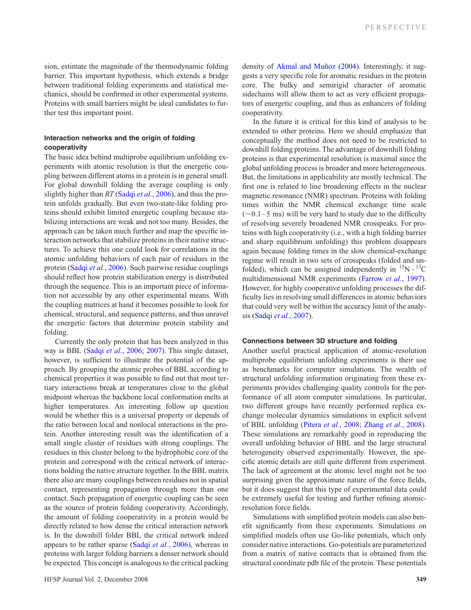sion, estimate the magnitude of the thermodynamic folding barrier. This important hypothesis, which extends a bridge between traditional folding experiments and statistical mechanics, should be confirmed in other experimental systems. Proteins with small barriers might be ideal candidates to further test this important point.

## **Interaction networks and the origin of folding cooperativity**

The basic idea behind multiprobe equilibrium unfolding experiments with atomic resolution is that the energetic coupling between different atoms in a protein is in general small. For global downhill folding the average coupling is only slightly higher than *RT* (Sadqi *et al.*, 2006), and thus the protein unfolds gradually. But even two-state-like folding proteins should exhibit limited energetic coupling because stabilizing interactions are weak and not too many. Besides, the approach can be taken much further and map the specific interaction networks that stabilize proteins in their native structures. To achieve this one could look for correlations in the atomic unfolding behaviors of each pair of residues in the protein (Sadqi *et al.*, 2006). Such pairwise residue couplings should reflect how protein stabilization energy is distributed through the sequence. This is an important piece of information not accessible by any other experimental means. With the coupling matrices at hand it becomes possible to look for chemical, structural, and sequence patterns, and thus unravel the energetic factors that determine protein stability and folding.

Currently the only protein that has been analyzed in this way is BBL (Sadqi *et al.*, 2006; 2007). This single dataset, however, is sufficient to illustrate the potential of the approach. By grouping the atomic probes of BBL according to chemical properties it was possible to find out that most tertiary interactions break at temperatures close to the global midpoint whereas the backbone local conformation melts at higher temperatures. An interesting follow up question would be whether this is a universal property or depends of the ratio between local and nonlocal interactions in the protein. Another interesting result was the identification of a small single cluster of residues with strong couplings. The residues in this cluster belong to the hydrophobic core of the protein and correspond with the critical network of interactions holding the native structure together. In the BBL matrix there also are many couplings between residues not in spatial contact, representing propagation through more than one contact. Such propagation of energetic coupling can be seen as the source of protein folding cooperativity. Accordingly, the amount of folding cooperativity in a protein would be directly related to how dense the critical interaction network is. In the downhill folder BBL the critical network indeed appears to be rather sparse (Sadqi *et al.*, 2006), whereas in proteins with larger folding barriers a denser network should be expected. This concept is analogous to the critical packing

density of Akmal and Muñoz (2004). Interestingly, it suggests a very specific role for aromatic residues in the protein core. The bulky and semirigid character of aromatic sidechains will allow them to act as very efficient propagators of energetic coupling, and thus as enhancers of folding cooperativity.

In the future it is critical for this kind of analysis to be extended to other proteins. Here we should emphasize that conceptually the method does not need to be restricted to downhill folding proteins. The advantage of downhill folding proteins is that experimental resolution is maximal since the global unfolding process is broader and more heterogeneous. But, the limitations in applicability are mostly technical. The first one is related to line broadening effects in the nuclear magnetic resonance (NMR) spectrum. Proteins with folding times within the NMR chemical exchange time scale  $(\sim 0.1 - 5 \text{ ms})$  will be very hard to study due to the difficulty of resolving severely broadened NMR crosspeaks. For proteins with high cooperativity (i.e., with a high folding barrier and sharp equilibrium unfolding) this problem disappears again because folding times in the slow chemical-exchange regime will result in two sets of crosspeaks (folded and unfolded), which can be assigned independently in  ${}^{15}N-{}^{13}C$ multidimensional NMR experiments (Farrow *et al.*, 1997). However, for highly cooperative unfolding processes the difficulty lies in resolving small differences in atomic behaviors that could very well be within the accuracy limit of the analysis (Sadqi *et al.*, 2007).

#### **Connections between 3D structure and folding**

Another useful practical application of atomic-resolution multiprobe equilibrium unfolding experiments is their use as benchmarks for computer simulations. The wealth of structural unfolding information originating from these experiments provides challenging quality controls for the performance of all atom computer simulations. In particular, two different groups have recently performed replica exchange molecular dynamics simulations in explicit solvent of BBL unfolding (Pitera *et al.*, 2008; Zhang *et al.*, 2008). These simulations are remarkably good in reproducing the overall unfolding behavior of BBL and the large structural heterogeneity observed experimentally. However, the specific atomic details are still quite different from experiment. The lack of agreement at the atomic level might not be too surprising given the approximate nature of the force fields, but it does suggest that this type of experimental data could be extremely useful for testing and further refining atomicresolution force fields.

Simulations with simplified protein models can also benefit significantly from these experiments. Simulations on simplified models often use Go-like potentials, which only consider native interactions. Go-potentials are parameterized from a matrix of native contacts that is obtained from the structural coordinate pdb file of the protein. These potentials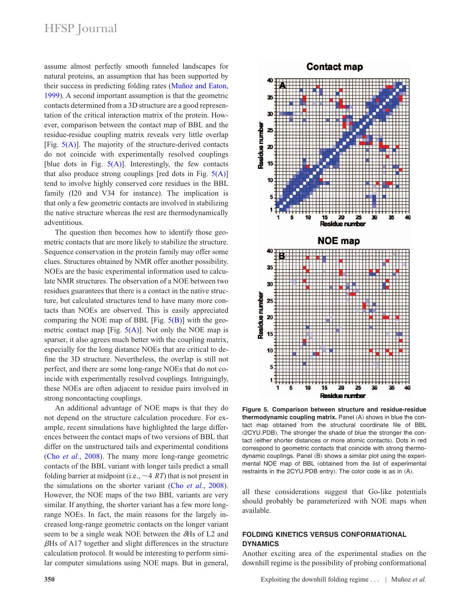## HFSP Journal

assume almost perfectly smooth funneled landscapes for natural proteins, an assumption that has been supported by their success in predicting folding rates (Muñoz and Eaton, 1999). A second important assumption is that the geometric contacts determined from a 3D structure are a good representation of the critical interaction matrix of the protein. However, comparison between the contact map of BBL and the residue-residue coupling matrix reveals very little overlap [Fig.  $5(A)$ ]. The majority of the structure-derived contacts do not coincide with experimentally resolved couplings [blue dots in Fig.  $5(A)$ ]. Interestingly, the few contacts that also produce strong couplings [red dots in Fig.  $5(A)$ ] tend to involve highly conserved core residues in the BBL family (I20 and V34 for instance). The implication is that only a few geometric contacts are involved in stabilizing the native structure whereas the rest are thermodynamically adventitious.

The question then becomes how to identify those geometric contacts that are more likely to stabilize the structure. Sequence conservation in the protein family may offer some clues. Structures obtained by NMR offer another possibility. NOEs are the basic experimental information used to calculate NMR structures. The observation of a NOE between two residues guarantees that there is a contact in the native structure, but calculated structures tend to have many more contacts than NOEs are observed. This is easily appreciated comparing the NOE map of BBL [Fig.  $5(B)$ ] with the geometric contact map [Fig.  $5(A)$ ]. Not only the NOE map is sparser, it also agrees much better with the coupling matrix, especially for the long distance NOEs that are critical to define the 3D structure. Nevertheless, the overlap is still not perfect, and there are some long-range NOEs that do not coincide with experimentally resolved couplings. Intriguingly, these NOEs are often adjacent to residue pairs involved in strong noncontacting couplings.

An additional advantage of NOE maps is that they do not depend on the structure calculation procedure. For example, recent simulations have highlighted the large differences between the contact maps of two versions of BBL that differ on the unstructured tails and experimental conditions (Cho *et al.*, 2008). The many more long-range geometric contacts of the BBL variant with longer tails predict a small folding barrier at midpoint (i.e.,  $\sim$  4 *RT*) that is not present in the simulations on the shorter variant (Cho *et al.*, 2008). However, the NOE maps of the two BBL variants are very similar. If anything, the shorter variant has a few more longrange NOEs. In fact, the main reasons for the largely increased long-range geometric contacts on the longer variant seem to be a single weak NOE between the  $\delta$ Hs of L2 and  $\beta$ Hs of A17 together and slight differences in the structure calculation protocol. It would be interesting to perform similar computer simulations using NOE maps. But in general,



**Figure 5. Comparison between structure and residue-residue thermodynamic coupling matrix.** Panel (A) shows in blue the contact map obtained from the structural coordinate file of BBL (2CYU.PDB). The stronger the shade of blue the stronger the contact (either shorter distances or more atomic contacts). Dots in red correspond to geometric contacts that coincide with strong thermodynamic couplings. Panel (B) shows a similar plot using the experimental NOE map of BBL (obtained from the list of experimental restraints in the 2CYU.PDB entry). The color code is as in (A).

all these considerations suggest that Go-like potentials should probably be parameterized with NOE maps when available.

## **FOLDING KINETICS VERSUS CONFORMATIONAL DYNAMICS**

Another exciting area of the experimental studies on the downhill regime is the possibility of probing conformational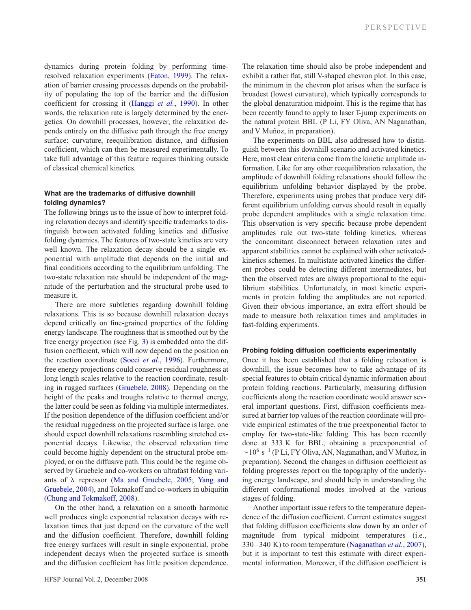dynamics during protein folding by performing timeresolved relaxation experiments (Eaton, 1999). The relaxation of barrier crossing processes depends on the probability of populating the top of the barrier and the diffusion coefficient for crossing it (Hanggi *et al.*, 1990). In other words, the relaxation rate is largely determined by the energetics. On downhill processes, however, the relaxation depends entirely on the diffusive path through the free energy surface: curvature, reequilibration distance, and diffusion coefficient, which can then be measured experimentally. To take full advantage of this feature requires thinking outside of classical chemical kinetics.

## **What are the trademarks of diffusive downhill folding dynamics?**

The following brings us to the issue of how to interpret folding relaxation decays and identify specific trademarks to distinguish between activated folding kinetics and diffusive folding dynamics. The features of two-state kinetics are very well known. The relaxation decay should be a single exponential with amplitude that depends on the initial and final conditions according to the equilibrium unfolding. The two-state relaxation rate should be independent of the magnitude of the perturbation and the structural probe used to measure it.

There are more subtleties regarding downhill folding relaxations. This is so because downhill relaxation decays depend critically on fine-grained properties of the folding energy landscape. The roughness that is smoothed out by the free energy projection (see Fig. 3) is embedded onto the diffusion coefficient, which will now depend on the position on the reaction coordinate (Socci *et al.*, 1996). Furthermore, free energy projections could conserve residual roughness at long length scales relative to the reaction coordinate, resulting in rugged surfaces (Gruebele, 2008). Depending on the height of the peaks and troughs relative to thermal energy, the latter could be seen as folding via multiple intermediates. If the position dependence of the diffusion coefficient and/or the residual ruggedness on the projected surface is large, one should expect downhill relaxations resembling stretched exponential decays. Likewise, the observed relaxation time could become highly dependent on the structural probe employed, or on the diffusive path. This could be the regime observed by Gruebele and co-workers on ultrafast folding variants of  $\lambda$  repressor (Ma and Gruebele, 2005; Yang and Gruebele, 2004), and Tokmakoff and co-workers in ubiquitin (Chung and Tokmakoff, 2008).

On the other hand, a relaxation on a smooth harmonic well produces single exponential relaxation decays with relaxation times that just depend on the curvature of the well and the diffusion coefficient. Therefore, downhill folding free energy surfaces will result in single exponential, probe independent decays when the projected surface is smooth and the diffusion coefficient has little position dependence. The relaxation time should also be probe independent and exhibit a rather flat, still V-shaped chevron plot. In this case, the minimum in the chevron plot arises when the surface is broadest (lowest curvature), which typically corresponds to the global denaturation midpoint. This is the regime that has been recently found to apply to laser T-jump experiments on the natural protein BBL (P Li, FY Oliva, AN Naganathan, and V Muñoz, in preparation).

The experiments on BBL also addressed how to distinguish between this downhill scenario and activated kinetics. Here, most clear criteria come from the kinetic amplitude information. Like for any other reequilibration relaxation, the amplitude of downhill folding relaxations should follow the equilibrium unfolding behavior displayed by the probe. Therefore, experiments using probes that produce very different equilibrium unfolding curves should result in equally probe dependent amplitudes with a single relaxation time. This observation is very specific because probe dependent amplitudes rule out two-state folding kinetics, whereas the concomitant disconnect between relaxation rates and apparent stabilities cannot be explained with other activatedkinetics schemes. In multistate activated kinetics the different probes could be detecting different intermediates, but then the observed rates are always proportional to the equilibrium stabilities. Unfortunately, in most kinetic experiments in protein folding the amplitudes are not reported. Given their obvious importance, an extra effort should be made to measure both relaxation times and amplitudes in fast-folding experiments.

#### **Probing folding diffusion coefficients experimentally**

Once it has been established that a folding relaxation is downhill, the issue becomes how to take advantage of its special features to obtain critical dynamic information about protein folding reactions. Particularly, measuring diffusion coefficients along the reaction coordinate would answer several important questions. First, diffusion coefficients measured at barrier top values of the reaction coordinate will provide empirical estimates of the true preexponential factor to employ for two-state-like folding. This has been recently done at 333 K for BBL, obtaining a preexponential of  $\sim$ 10<sup>6</sup> s<sup>-1</sup> (P Li, FY Oliva, AN, Naganathan, and V Muñoz, in preparation). Second, the changes in diffusion coefficient as folding progresses report on the topography of the underlying energy landscape, and should help in understanding the different conformational modes involved at the various stages of folding.

Another important issue refers to the temperature dependence of the diffusion coefficient. Current estimates suggest that folding diffusion coefficients slow down by an order of magnitude from typical midpoint temperatures (i.e., 330– 340 K) to room temperature (Naganathan *et al.*, 2007), but it is important to test this estimate with direct experimental information. Moreover, if the diffusion coefficient is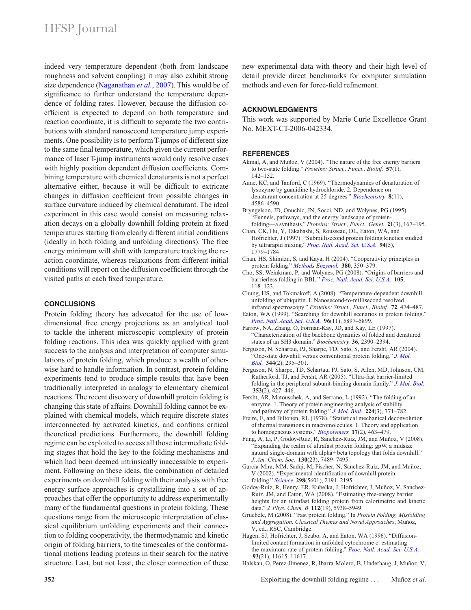indeed very temperature dependent (both from landscape roughness and solvent coupling) it may also exhibit strong size dependence (Naganathan *et al.*, 2007). This would be of significance to further understand the temperature dependence of folding rates. However, because the diffusion coefficient is expected to depend on both temperature and reaction coordinate, it is difficult to separate the two contributions with standard nanosecond temperature jump experiments. One possibility is to perform T-jumps of different size to the same final temperature, which given the current performance of laser T-jump instruments would only resolve cases with highly position dependent diffusion coefficients. Combining temperature with chemical denaturants is not a perfect alternative either, because it will be difficult to extricate changes in diffusion coefficient from possible changes in surface curvature induced by chemical denaturant. The ideal experiment in this case would consist on measuring relaxation decays on a globally downhill folding protein at fixed temperatures starting from clearly different initial conditions (ideally in both folding and unfolding directions). The free energy minimum will shift with temperature tracking the reaction coordinate, whereas relaxations from different initial conditions will report on the diffusion coefficient through the visited paths at each fixed temperature.

## **CONCLUSIONS**

Protein folding theory has advocated for the use of lowdimensional free energy projections as an analytical tool to tackle the inherent microscopic complexity of protein folding reactions. This idea was quickly applied with great success to the analysis and interpretation of computer simulations of protein folding, which produce a wealth of otherwise hard to handle information. In contrast, protein folding experiments tend to produce simple results that have been traditionally interpreted in analogy to elementary chemical reactions. The recent discovery of downhill protein folding is changing this state of affairs. Downhill folding cannot be explained with chemical models, which require discrete states interconnected by activated kinetics, and confirms critical theoretical predictions. Furthermore, the downhill folding regime can be exploited to access all those intermediate folding stages that hold the key to the folding mechanisms and which had been deemed intrinsically inaccessible to experiment. Following on these ideas, the combination of detailed experiments on downhill folding with their analysis with free energy surface approaches is crystallizing into a set of approaches that offer the opportunity to address experimentally many of the fundamental questions in protein folding. These questions range from the microscopic interpretation of classical equilibrium unfolding experiments and their connection to folding cooperativity, the thermodynamic and kinetic origin of folding barriers, to the timescales of the conformational motions leading proteins in their search for the native structure. Last, but not least, the closer connection of these

new experimental data with theory and their high level of detail provide direct benchmarks for computer simulation methods and even for force-field refinement.

### **ACKNOWLEDGMENTS**

This work was supported by Marie Curie Excellence Grant No. MEXT-CT-2006-042334.

#### **REFERENCES**

- Akmal, A, and Muñoz, V (2004). "The nature of the free energy barriers to two-state folding." *Proteins: Struct., Funct., Bioinf.* **57**(1), 142–152.
- Aune, KC, and Tanford, C (1969). "Thermodynamics of denaturation of lysozyme by guanidine hydrochloride. 2. Dependence on denaturant concentration at 25 degrees." *Biochemistry* **8**(11), 4586–4590.
- Bryngelson, JD, Onuchic, JN, Socci, ND, and Wolynes, PG (1995). "Funnels, pathways, and the energy landscape of proteinfolding—a synthesis." *Proteins: Struct., Funct., Genet.* **21**(3), 167–195.
- Chan, CK, Hu, Y, Takahashi, S, Rousseau, DL, Eaton, WA, and Hofrichter, J (1997). "Submillisecond protein folding kinetics studied by ultrarapid mixing." *Proc. Natl. Acad. Sci. U.S.A.* **94**(5), 1779–1784
- Chan, HS, Shimizu, S, and Kaya, H (2004). "Cooperativity principles in protein folding." *Methods Enzymol.* **380**, 350–379.
- Cho, SS, Weinkman, P, and Wolynes, PG (2008). "Origins of barriers and barrierless folding in BBL." *Proc. Natl. Acad. Sci. U.S.A.* **105**, 118–123.
- Chung, HS, and Tokmakoff, A (2008). "Temperature-dependent downhill unfolding of ubiquitin. I. Nanosecond-to-millisecond resolved infrared spectroscopy." *Proteins: Struct., Funct., Bioinf.* **72**, 474–487.
- Eaton, WA (1999). "Searching for downhill scenarios in protein folding." *Proc. Natl. Acad. Sci. U.S.A.* **96**(11), 5897–5899.
- Farrow, NA, Zhang, O, Forman-Kay, JD, and Kay, LE (1997). "Characterization of the backbone dynamics of folded and denatured states of an SH3 domain." *Biochemistry* **36**, 2390–2394.
- Ferguson, N, Schartau, PJ, Sharpe, TD, Sato, S, and Fersht, AR (2004). "One-state downhill versus conventional protein folding." *J. Mol. Biol.* **344**(2), 295–301.
- Ferguson, N, Sharpe, TD, Schartau, PJ, Sato, S, Allen, MD, Johnson, CM, Rutherford, TJ, and Fersht, AR (2005). "Ultra-fast barrier-limited folding in the peripheral subunit-binding domain family." *J. Mol. Biol.* **353**(2), 427–446.
- Fersht, AR, Matouschek, A, and Serrano, L (1992). "The folding of an enzyme. 1. Theory of protein engineering analysis of stability and pathway of protein folding." *J. Mol. Biol.* **224**(3), 771–782.
- Freire, E, and Biltonen, RL (1978). "Statistical mechanical deconvolution of thermal transitions in macromolecules. 1. Theory and application to homogeneous systems." *Biopolymers* **17**(2), 463–479.
- Fung, A, Li, P, Godoy-Ruiz, R, Sanchez-Ruiz, JM, and Muñoz, V (2008). "Expanding the realm of ultrafast protein folding: gpW, a midsize natural single-domain with alpha+ beta topology that folds downhill." *J. Am. Chem. Soc.* **130**(23), 7489–7495.
- Garcia-Mira, MM, Sadqi, M, Fischer, N, Sanchez-Ruiz, JM, and Muñoz, V (2002). "Experimental identification of downhill protein folding." *Science* **298**(5601), 2191–2195.
- Godoy-Ruiz, R, Henry, ER, Kubelka, J, Hofrichter, J, Muñoz, V, Sanchez-Ruiz, JM, and Eaton, WA (2008). "Estimating free-energy barrier heights for an ultrafast folding protein from calorimetric and kinetic data." *J. Phys. Chem. B* **112**(19), 5938–5949.
- Gruebele, M (2008). "Fast protein folding." In *Protein Folding, Misfolding and Aggregation. Classical Themes and Novel Approaches*, Muñoz, V, ed., RSC, Cambridge.
- Hagen, SJ, Hofrichter, J, Szabo, A, and Eaton, WA (1996). "Diffusionlimited contact formation in unfolded cytochrome c: estimating the maximum rate of protein folding." *Proc. Natl. Acad. Sci. U.S.A.* **93**(21), 11615–11617.

Halskau, O, Perez-Jimenez, R, Ibarra-Molero, B, Underhaug, J, Muñoz, V,